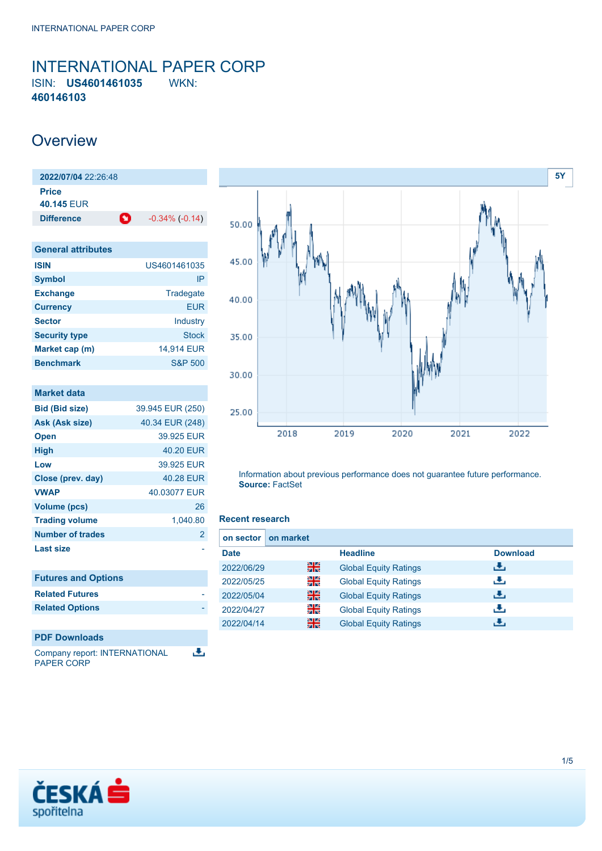### <span id="page-0-0"></span>INTERNATIONAL PAPER CORP ISIN: **US4601461035** WKN: **460146103**

## **Overview**

**2022/07/04** 22:26:48 **Price 40.145** EUR **Difference 1** -0.34% (-0.14)

| <b>General attributes</b> |                    |
|---------------------------|--------------------|
| <b>ISIN</b>               | US4601461035       |
| <b>Symbol</b>             | IP                 |
| <b>Exchange</b>           | Tradegate          |
| <b>Currency</b>           | FUR                |
| <b>Sector</b>             | Industry           |
| <b>Security type</b>      | <b>Stock</b>       |
| Market cap (m)            | 14,914 EUR         |
| <b>Benchmark</b>          | <b>S&amp;P 500</b> |

| <b>Market data</b>         |                  |
|----------------------------|------------------|
| <b>Bid (Bid size)</b>      | 39.945 EUR (250) |
| Ask (Ask size)             | 40.34 EUR (248)  |
| <b>Open</b>                | 39.925 EUR       |
| <b>High</b>                | 40.20 EUR        |
| l ow                       | 39.925 FUR       |
| Close (prev. day)          | 40.28 FUR        |
| <b>VWAP</b>                | 40.03077 EUR     |
| <b>Volume (pcs)</b>        | 26               |
| <b>Trading volume</b>      | 1,040.80         |
| Number of trades           | $\overline{2}$   |
| Last size                  |                  |
|                            |                  |
| <b>Futures and Options</b> |                  |
| <b>Related Futures</b>     |                  |
| <b>Related Options</b>     |                  |
|                            |                  |
| <b>PDF Downloads</b>       |                  |

Company report: INTERNATIONAL رائي PAPER CORP



Information about previous performance does not guarantee future performance. **Source:** FactSet

#### **Recent research**

| on market<br>on sector I |    |                              |                 |
|--------------------------|----|------------------------------|-----------------|
| <b>Date</b>              |    | <b>Headline</b>              | <b>Download</b> |
| 2022/06/29               | 꾉쭍 | <b>Global Equity Ratings</b> | ريان            |
| 2022/05/25               | 을  | <b>Global Equity Ratings</b> | رنان            |
| 2022/05/04               | 噐  | <b>Global Equity Ratings</b> | رنان            |
| 2022/04/27               | 을  | <b>Global Equity Ratings</b> | æ,              |
| 2022/04/14               | 噐  | <b>Global Equity Ratings</b> | æ,              |

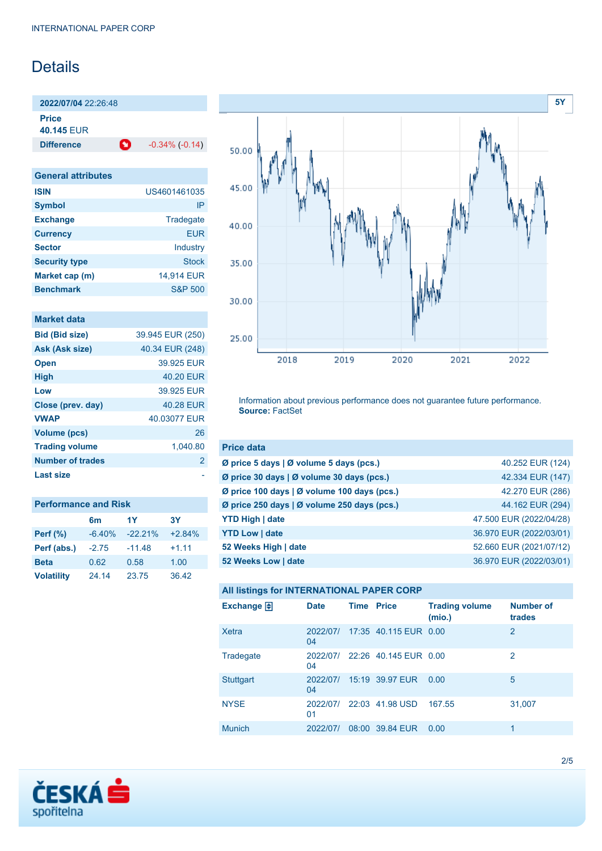# Details

**2022/07/04** 22:26:48

**Price 40.145** EUR

**Difference C** -0.34% (-0.14)

| <b>General attributes</b> |                    |
|---------------------------|--------------------|
| <b>ISIN</b>               | US4601461035       |
| <b>Symbol</b>             | IP                 |
| <b>Exchange</b>           | Tradegate          |
| <b>Currency</b>           | <b>EUR</b>         |
| <b>Sector</b>             | Industry           |
| <b>Security type</b>      | Stock              |
| Market cap (m)            | 14,914 EUR         |
| <b>Benchmark</b>          | <b>S&amp;P 500</b> |

| <b>Market data</b> |  |  |
|--------------------|--|--|
|                    |  |  |
|                    |  |  |

| <b>Bid (Bid size)</b> | 39.945 EUR (250) |
|-----------------------|------------------|
| Ask (Ask size)        | 40.34 EUR (248)  |
| <b>Open</b>           | 39.925 FUR       |
| <b>High</b>           | 40.20 EUR        |
| Low                   | 39.925 EUR       |
| Close (prev. day)     | 40.28 EUR        |
| <b>VWAP</b>           | 40.03077 EUR     |
| <b>Volume (pcs)</b>   | 26               |
| <b>Trading volume</b> | 1,040.80         |
| Number of trades      | $\mathbf{2}$     |
| <b>Last size</b>      |                  |

| <b>Performance and Risk</b> |          |            |           |  |
|-----------------------------|----------|------------|-----------|--|
|                             | 6m       | 1Y         | <b>3Y</b> |  |
| <b>Perf (%)</b>             | $-6.40%$ | $-22.21\%$ | $+2.84%$  |  |
| Perf (abs.)                 | $-2.75$  | $-11.48$   | $+1.11$   |  |
| <b>Beta</b>                 | 0.62     | 0.58       | 1.00      |  |
| <b>Volatility</b>           | 24.14    | 23.75      | 36.42     |  |



Information about previous performance does not guarantee future performance. **Source:** FactSet

| <b>Price data</b>                                         |                         |
|-----------------------------------------------------------|-------------------------|
| $\emptyset$ price 5 days $\emptyset$ volume 5 days (pcs.) | 40.252 EUR (124)        |
| Ø price 30 days   Ø volume 30 days (pcs.)                 | 42.334 EUR (147)        |
| Ø price 100 days   Ø volume 100 days (pcs.)               | 42.270 EUR (286)        |
| Ø price 250 days   Ø volume 250 days (pcs.)               | 44.162 EUR (294)        |
| <b>YTD High   date</b>                                    | 47.500 EUR (2022/04/28) |
| <b>YTD Low   date</b>                                     | 36.970 EUR (2022/03/01) |
| 52 Weeks High   date                                      | 52.660 EUR (2021/07/12) |
| 52 Weeks Low   date                                       | 36.970 EUR (2022/03/01) |

|  | All listings for INTERNATIONAL PAPER CORP |  |
|--|-------------------------------------------|--|
|--|-------------------------------------------|--|

| Exchange $\Box$  | <b>Date</b>    | <b>Time Price</b> |                                | <b>Trading volume</b><br>(mio.) | <b>Number of</b><br>trades |
|------------------|----------------|-------------------|--------------------------------|---------------------------------|----------------------------|
| Xetra            | 2022/07/<br>04 |                   | 17:35 40.115 EUR 0.00          |                                 | $\overline{2}$             |
| Tradegate        | 04             |                   | 2022/07/ 22:26 40.145 EUR 0.00 |                                 | 2                          |
| <b>Stuttgart</b> | 2022/07/<br>04 |                   | 15:19 39.97 EUR                | 0.00                            | 5                          |
| <b>NYSE</b>      | 2022/07/<br>01 |                   | 22:03 41.98 USD                | 167.55                          | 31,007                     |
| <b>Munich</b>    | 2022/07/       |                   | 08:00 39.84 EUR                | 0.00                            | 1                          |

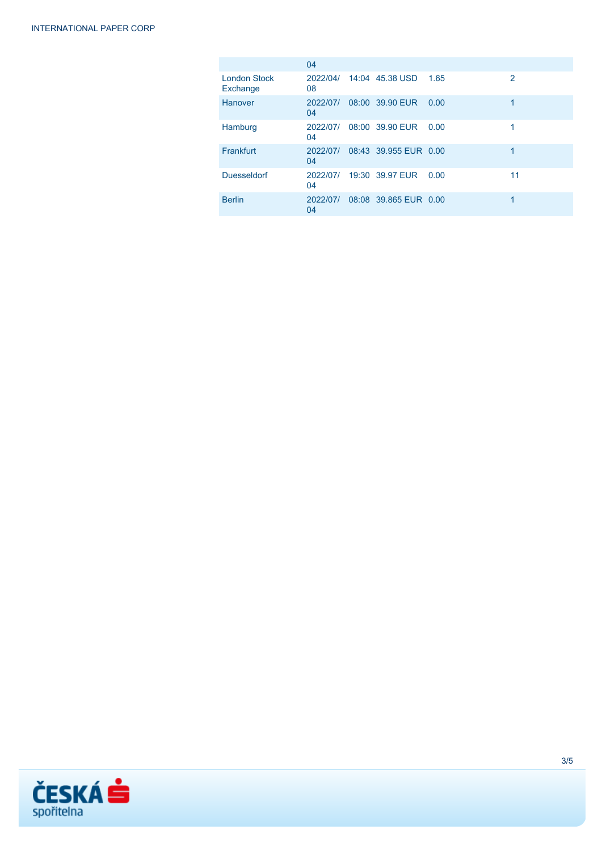|                                 | 04             |                       |      |    |
|---------------------------------|----------------|-----------------------|------|----|
| <b>London Stock</b><br>Exchange | 2022/04/<br>08 | 14:04 45.38 USD       | 1.65 | 2  |
| Hanover                         | 2022/07/<br>04 | 08:00 39.90 EUR       | 0.00 | 1  |
| Hamburg                         | 2022/07/<br>04 | 08:00 39.90 EUR       | 0.00 |    |
| Frankfurt                       | 2022/07/<br>04 | 08:43 39.955 EUR 0.00 |      |    |
| <b>Duesseldorf</b>              | 2022/07/<br>04 | 19:30 39.97 FUR       | 0.00 | 11 |
| <b>Berlin</b>                   | 2022/07/<br>04 | 08:08 39.865 EUR 0.00 |      | 1  |

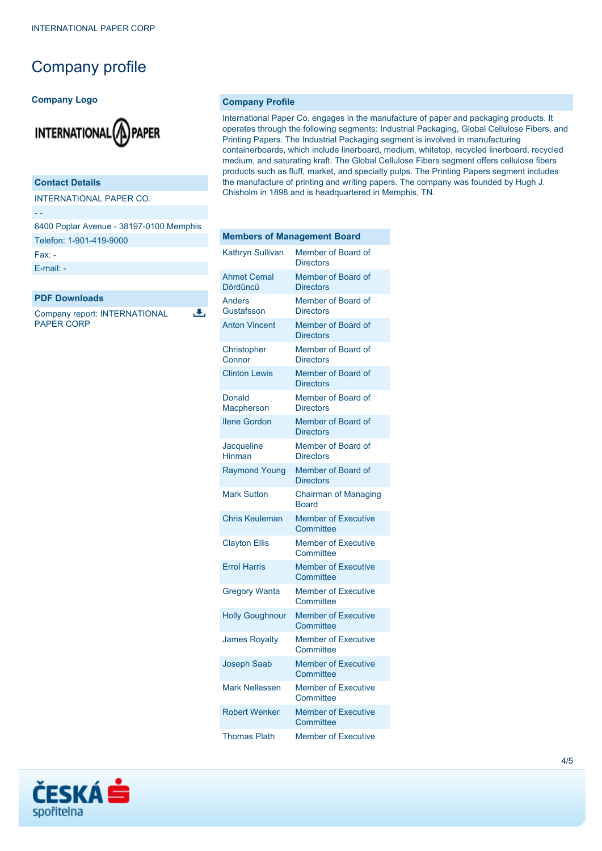## Company profile

#### **Company Logo**



#### **Contact Details**

INTERNATIONAL PAPER CO.

- -

6400 Poplar Avenue - 38197-0100 Memphis Telefon: 1-901-419-9000

J.

Fax: -

[E-mail: -](mailto:-)

#### **PDF Downloads**

Company report: INTERNATIONAL PAPER CORP

#### **Company Profile**

International Paper Co. engages in the manufacture of paper and packaging products. It operates through the following segments: Industrial Packaging, Global Cellulose Fibers, and Printing Papers. The Industrial Packaging segment is involved in manufacturing containerboards, which include linerboard, medium, whitetop, recycled linerboard, recycled medium, and saturating kraft. The Global Cellulose Fibers segment offers cellulose fibers products such as fluff, market, and specialty pulps. The Printing Papers segment includes the manufacture of printing and writing papers. The company was founded by Hugh J. Chisholm in 1898 and is headquartered in Memphis, TN.

| <b>Members of Management Board</b> |                                             |
|------------------------------------|---------------------------------------------|
| <b>Kathryn Sullivan</b>            | Member of Board of<br><b>Directors</b>      |
| <b>Ahmet Cemal</b><br>Dördüncü     | Member of Board of<br><b>Directors</b>      |
| <b>Anders</b><br>Gustafsson        | Member of Board of<br><b>Directors</b>      |
| <b>Anton Vincent</b>               | Member of Board of<br><b>Directors</b>      |
| Christopher<br>Connor              | Member of Board of<br><b>Directors</b>      |
| <b>Clinton Lewis</b>               | Member of Board of<br><b>Directors</b>      |
| Donald<br><b>Macpherson</b>        | Member of Board of<br><b>Directors</b>      |
| <b>Ilene Gordon</b>                | Member of Board of<br><b>Directors</b>      |
| Jacqueline<br>Hinman               | Member of Board of<br><b>Directors</b>      |
| <b>Raymond Young</b>               | Member of Board of<br><b>Directors</b>      |
| <b>Mark Sutton</b>                 | <b>Chairman of Managing</b><br><b>Board</b> |
| <b>Chris Keuleman</b>              | <b>Member of Executive</b><br>Committee     |
| <b>Clayton Ellis</b>               | <b>Member of Executive</b><br>Committee     |
| <b>Errol Harris</b>                | <b>Member of Executive</b><br>Committee     |
| <b>Gregory Wanta</b>               | <b>Member of Executive</b><br>Committee     |
| <b>Holly Goughnour</b>             | <b>Member of Executive</b><br>Committee     |
| <b>James Royalty</b>               | <b>Member of Executive</b><br>Committee     |
| <b>Joseph Saab</b>                 | <b>Member of Executive</b><br>Committee     |
| <b>Mark Nellessen</b>              | <b>Member of Executive</b><br>Committee     |
| <b>Robert Wenker</b>               | <b>Member of Executive</b><br>Committee     |
| <b>Thomas Plath</b>                | <b>Member of Executive</b>                  |